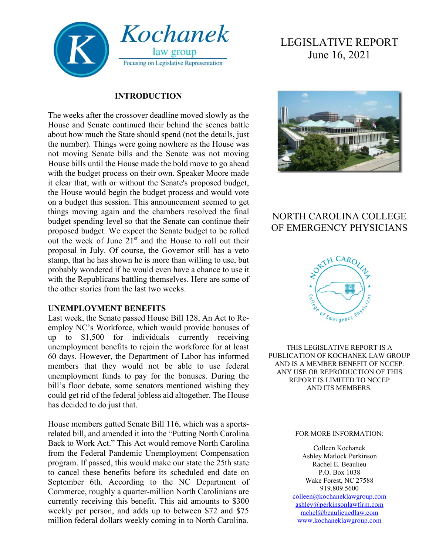

#### **INTRODUCTION**

The weeks after the crossover deadline moved slowly as the House and Senate continued their behind the scenes battle about how much the State should spend (not the details, just the number). Things were going nowhere as the House was not moving Senate bills and the Senate was not moving House bills until the House made the bold move to go ahead with the budget process on their own. Speaker Moore made it clear that, with or without the Senate's proposed budget, the House would begin the budget process and would vote on a budget this session. This announcement seemed to get things moving again and the chambers resolved the final budget spending level so that the Senate can continue their proposed budget. We expect the Senate budget to be rolled out the week of June  $21<sup>st</sup>$  and the House to roll out their proposal in July. Of course, the Governor still has a veto stamp, that he has shown he is more than willing to use, but probably wondered if he would even have a chance to use it with the Republicans battling themselves. Here are some of the other stories from the last two weeks.

#### **UNEMPLOYMENT BENEFITS**

Last week, the Senate passed House Bill 128, An Act to Reemploy NC's Workforce, which would provide bonuses of up to \$1,500 for individuals currently receiving unemployment benefits to rejoin the workforce for at least 60 days. However, the Department of Labor has informed members that they would not be able to use federal unemployment funds to pay for the bonuses. During the bill's floor debate, some senators mentioned wishing they could get rid of the federal jobless aid altogether. The House has decided to do just that.

House members gutted Senate Bill 116, which was a sportsrelated bill, and amended it into the "Putting North Carolina Back to Work Act." This Act would remove North Carolina from the Federal Pandemic Unemployment Compensation program. If passed, this would make our state the 25th state to cancel these benefits before its scheduled end date on September 6th. According to the NC Department of Commerce, roughly a quarter-million North Carolinians are currently receiving this benefit. This aid amounts to \$300 weekly per person, and adds up to between \$72 and \$75 million federal dollars weekly coming in to North Carolina.

# LEGISLATIVE REPORT June 16, 2021



## NORTH CAROLINA COLLEGE OF EMERGENCY PHYSICIANS



THIS LEGISLATIVE REPORT IS A PUBLICATION OF KOCHANEK LAW GROUP AND IS A MEMBER BENEFIT OF NCCEP. ANY USE OR REPRODUCTION OF THIS REPORT IS LIMITED TO NCCEP AND ITS MEMBERS.

#### FOR MORE INFORMATION:

Colleen Kochanek Ashley Matlock Perkinson Rachel E. Beaulieu P.O. Box 1038 Wake Forest, NC 27588 919.809.5600 [colleen@kochaneklawgroup.com](mailto:colleen@kochaneklawgroup.com) [ashley@perkinsonlawfirm.com](mailto:ashley@perkinsonlawfirm.com)

[rachel@beaulieuedlaw.com](mailto:rachel@beaulieuedlaw.com) [www.kochaneklawgroup.com](http://www.kochaneklawgroup.com/)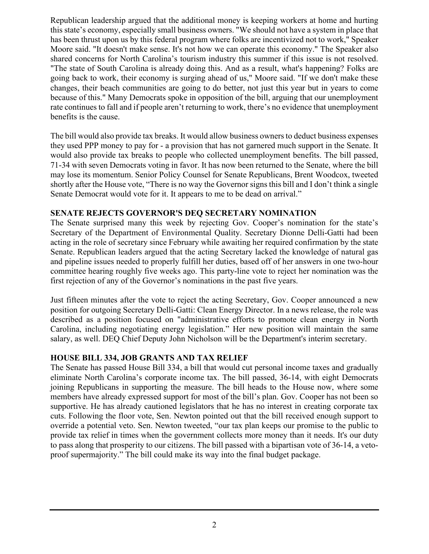Republican leadership argued that the additional money is keeping workers at home and hurting this state's economy, especially small business owners. "We should not have a system in place that has been thrust upon us by this federal program where folks are incentivized not to work," Speaker Moore said. "It doesn't make sense. It's not how we can operate this economy." The Speaker also shared concerns for North Carolina's tourism industry this summer if this issue is not resolved. "The state of South Carolina is already doing this. And as a result, what's happening? Folks are going back to work, their economy is surging ahead of us," Moore said. "If we don't make these changes, their beach communities are going to do better, not just this year but in years to come because of this." Many Democrats spoke in opposition of the bill, arguing that our unemployment rate continues to fall and if people aren't returning to work, there's no evidence that unemployment benefits is the cause.

The bill would also provide tax breaks. It would allow business owners to deduct business expenses they used PPP money to pay for - a provision that has not garnered much support in the Senate. It would also provide tax breaks to people who collected unemployment benefits. The bill passed, 71-34 with seven Democrats voting in favor. It has now been returned to the Senate, where the bill may lose its momentum. Senior Policy Counsel for Senate Republicans, Brent Woodcox, tweeted shortly after the House vote, "There is no way the Governor signs this bill and I don't think a single Senate Democrat would vote for it. It appears to me to be dead on arrival."

#### **SENATE REJECTS GOVERNOR'S DEQ SECRETARY NOMINATION**

The Senate surprised many this week by rejecting Gov. Cooper's nomination for the state's Secretary of the Department of Environmental Quality. Secretary Dionne Delli-Gatti had been acting in the role of secretary since February while awaiting her required confirmation by the state Senate. Republican leaders argued that the acting Secretary lacked the knowledge of natural gas and pipeline issues needed to properly fulfill her duties, based off of her answers in one two-hour committee hearing roughly five weeks ago. This party-line vote to reject her nomination was the first rejection of any of the Governor's nominations in the past five years.

Just fifteen minutes after the vote to reject the acting Secretary, Gov. Cooper announced a new position for outgoing Secretary Delli-Gatti: Clean Energy Director. In a news release, the role was described as a position focused on "administrative efforts to promote clean energy in North Carolina, including negotiating energy legislation." Her new position will maintain the same salary, as well. DEQ Chief Deputy John Nicholson will be the Department's interim secretary.

#### **HOUSE BILL 334, JOB GRANTS AND TAX RELIEF**

The Senate has passed House Bill 334, a bill that would cut personal income taxes and gradually eliminate North Carolina's corporate income tax. The bill passed, 36-14, with eight Democrats joining Republicans in supporting the measure. The bill heads to the House now, where some members have already expressed support for most of the bill's plan. Gov. Cooper has not been so supportive. He has already cautioned legislators that he has no interest in creating corporate tax cuts. Following the floor vote, Sen. Newton pointed out that the bill received enough support to override a potential veto. Sen. Newton tweeted, "our tax plan keeps our promise to the public to provide tax relief in times when the government collects more money than it needs. It's our duty to pass along that prosperity to our citizens. The bill passed with a bipartisan vote of 36-14, a vetoproof supermajority." The bill could make its way into the final budget package.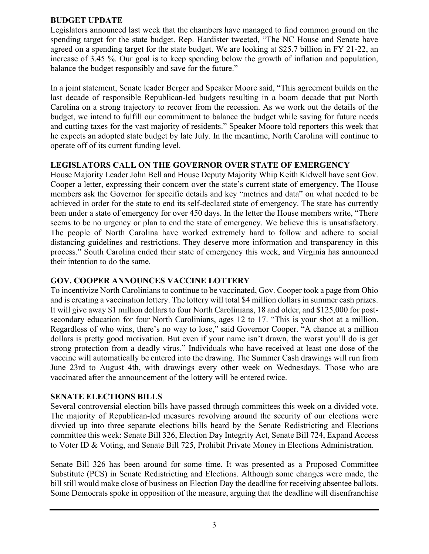#### **BUDGET UPDATE**

Legislators announced last week that the chambers have managed to find common ground on the spending target for the state budget. Rep. Hardister tweeted, "The NC House and Senate have agreed on a spending target for the state budget. We are looking at \$25.7 billion in FY 21-22, an increase of 3.45 %. Our goal is to keep spending below the growth of inflation and population, balance the budget responsibly and save for the future."

In a joint statement, Senate leader Berger and Speaker Moore said, "This agreement builds on the last decade of responsible Republican-led budgets resulting in a boom decade that put North Carolina on a strong trajectory to recover from the recession. As we work out the details of the budget, we intend to fulfill our commitment to balance the budget while saving for future needs and cutting taxes for the vast majority of residents." Speaker Moore told reporters this week that he expects an adopted state budget by late July. In the meantime, North Carolina will continue to operate off of its current funding level.

#### **LEGISLATORS CALL ON THE GOVERNOR OVER STATE OF EMERGENCY**

House Majority Leader John Bell and House Deputy Majority Whip Keith Kidwell have sent Gov. Cooper a letter, expressing their concern over the state's current state of emergency. The House members ask the Governor for specific details and key "metrics and data" on what needed to be achieved in order for the state to end its self-declared state of emergency. The state has currently been under a state of emergency for over 450 days. In the letter the House members write, "There seems to be no urgency or plan to end the state of emergency. We believe this is unsatisfactory. The people of North Carolina have worked extremely hard to follow and adhere to social distancing guidelines and restrictions. They deserve more information and transparency in this process." South Carolina ended their state of emergency this week, and Virginia has announced their intention to do the same.

#### **GOV. COOPER ANNOUNCES VACCINE LOTTERY**

To incentivize North Carolinians to continue to be vaccinated, Gov. Cooper took a page from Ohio and is creating a vaccination lottery. The lottery will total \$4 million dollars in summer cash prizes. It will give away \$1 million dollars to four North Carolinians, 18 and older, and \$125,000 for postsecondary education for four North Carolinians, ages 12 to 17. "This is your shot at a million. Regardless of who wins, there's no way to lose," said Governor Cooper. "A chance at a million dollars is pretty good motivation. But even if your name isn't drawn, the worst you'll do is get strong protection from a deadly virus." Individuals who have received at least one dose of the vaccine will automatically be entered into the drawing. The Summer Cash drawings will run from June 23rd to August 4th, with drawings every other week on Wednesdays. Those who are vaccinated after the announcement of the lottery will be entered twice.

#### **SENATE ELECTIONS BILLS**

Several controversial election bills have passed through committees this week on a divided vote. The majority of Republican-led measures revolving around the security of our elections were divvied up into three separate elections bills heard by the Senate Redistricting and Elections committee this week: Senate Bill 326, Election Day Integrity Act, Senate Bill 724, Expand Access to Voter ID & Voting, and Senate Bill 725, Prohibit Private Money in Elections Administration.

Senate Bill 326 has been around for some time. It was presented as a Proposed Committee Substitute (PCS) in Senate Redistricting and Elections. Although some changes were made, the bill still would make close of business on Election Day the deadline for receiving absentee ballots. Some Democrats spoke in opposition of the measure, arguing that the deadline will disenfranchise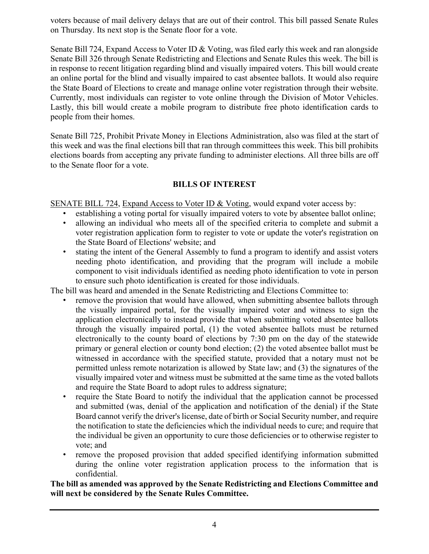voters because of mail delivery delays that are out of their control. This bill passed Senate Rules on Thursday. Its next stop is the Senate floor for a vote.

Senate Bill 724, Expand Access to Voter ID & Voting, was filed early this week and ran alongside Senate Bill 326 through Senate Redistricting and Elections and Senate Rules this week. The bill is in response to recent litigation regarding blind and visually impaired voters. This bill would create an online portal for the blind and visually impaired to cast absentee ballots. It would also require the State Board of Elections to create and manage online voter registration through their website. Currently, most individuals can register to vote online through the Division of Motor Vehicles. Lastly, this bill would create a mobile program to distribute free photo identification cards to people from their homes.

Senate Bill 725, Prohibit Private Money in Elections Administration, also was filed at the start of this week and was the final elections bill that ran through committees this week. This bill prohibits elections boards from accepting any private funding to administer elections. All three bills are off to the Senate floor for a vote.

### **BILLS OF INTEREST**

SENATE BILL 724, Expand Access to Voter ID & Voting, would expand voter access by:

- establishing a voting portal for visually impaired voters to vote by absentee ballot online;
- allowing an individual who meets all of the specified criteria to complete and submit a voter registration application form to register to vote or update the voter's registration on the State Board of Elections' website; and
- stating the intent of the General Assembly to fund a program to identify and assist voters needing photo identification, and providing that the program will include a mobile component to visit individuals identified as needing photo identification to vote in person to ensure such photo identification is created for those individuals.

The bill was heard and amended in the Senate Redistricting and Elections Committee to:

- remove the provision that would have allowed, when submitting absentee ballots through the visually impaired portal, for the visually impaired voter and witness to sign the application electronically to instead provide that when submitting voted absentee ballots through the visually impaired portal, (1) the voted absentee ballots must be returned electronically to the county board of elections by 7:30 pm on the day of the statewide primary or general election or county bond election; (2) the voted absentee ballot must be witnessed in accordance with the specified statute, provided that a notary must not be permitted unless remote notarization is allowed by State law; and (3) the signatures of the visually impaired voter and witness must be submitted at the same time as the voted ballots and require the State Board to adopt rules to address signature;
- require the State Board to notify the individual that the application cannot be processed and submitted (was, denial of the application and notification of the denial) if the State Board cannot verify the driver's license, date of birth or Social Security number, and require the notification to state the deficiencies which the individual needs to cure; and require that the individual be given an opportunity to cure those deficiencies or to otherwise register to vote; and
- remove the proposed provision that added specified identifying information submitted during the online voter registration application process to the information that is confidential.

**The bill as amended was approved by the Senate Redistricting and Elections Committee and will next be considered by the Senate Rules Committee.**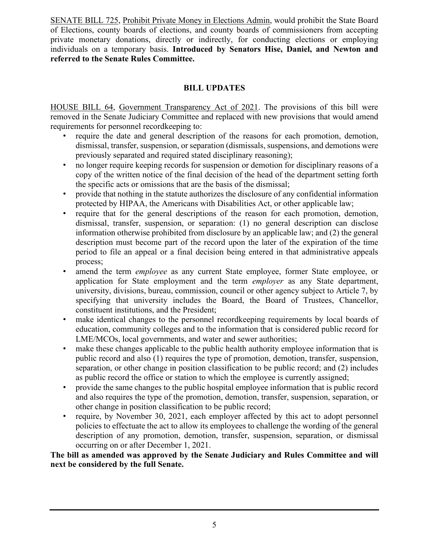SENATE BILL 725, Prohibit Private Money in Elections Admin, would prohibit the State Board of Elections, county boards of elections, and county boards of commissioners from accepting private monetary donations, directly or indirectly, for conducting elections or employing individuals on a temporary basis. **Introduced by Senators Hise, Daniel, and Newton and referred to the Senate Rules Committee.**

#### **BILL UPDATES**

HOUSE BILL 64, Government Transparency Act of 2021. The provisions of this bill were removed in the Senate Judiciary Committee and replaced with new provisions that would amend requirements for personnel recordkeeping to:

- require the date and general description of the reasons for each promotion, demotion, dismissal, transfer, suspension, or separation (dismissals, suspensions, and demotions were previously separated and required stated disciplinary reasoning);
- no longer require keeping records for suspension or demotion for disciplinary reasons of a copy of the written notice of the final decision of the head of the department setting forth the specific acts or omissions that are the basis of the dismissal;
- provide that nothing in the statute authorizes the disclosure of any confidential information protected by HIPAA, the Americans with Disabilities Act, or other applicable law;
- require that for the general descriptions of the reason for each promotion, demotion, dismissal, transfer, suspension, or separation: (1) no general description can disclose information otherwise prohibited from disclosure by an applicable law; and (2) the general description must become part of the record upon the later of the expiration of the time period to file an appeal or a final decision being entered in that administrative appeals process;
- amend the term *employee* as any current State employee, former State employee, or application for State employment and the term *employer* as any State department, university, divisions, bureau, commission, council or other agency subject to Article 7, by specifying that university includes the Board, the Board of Trustees, Chancellor, constituent institutions, and the President;
- make identical changes to the personnel recordkeeping requirements by local boards of education, community colleges and to the information that is considered public record for LME/MCOs, local governments, and water and sewer authorities;
- make these changes applicable to the public health authority employee information that is public record and also (1) requires the type of promotion, demotion, transfer, suspension, separation, or other change in position classification to be public record; and (2) includes as public record the office or station to which the employee is currently assigned;
- provide the same changes to the public hospital employee information that is public record and also requires the type of the promotion, demotion, transfer, suspension, separation, or other change in position classification to be public record;
- require, by November 30, 2021, each employer affected by this act to adopt personnel policies to effectuate the act to allow its employees to challenge the wording of the general description of any promotion, demotion, transfer, suspension, separation, or dismissal occurring on or after December 1, 2021.

**The bill as amended was approved by the Senate Judiciary and Rules Committee and will next be considered by the full Senate.**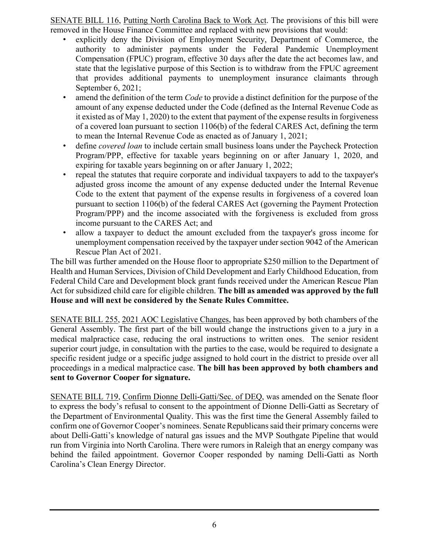SENATE BILL 116, Putting North Carolina Back to Work Act. The provisions of this bill were removed in the House Finance Committee and replaced with new provisions that would:

- explicitly deny the Division of Employment Security, Department of Commerce, the authority to administer payments under the Federal Pandemic Unemployment Compensation (FPUC) program, effective 30 days after the date the act becomes law, and state that the legislative purpose of this Section is to withdraw from the FPUC agreement that provides additional payments to unemployment insurance claimants through September 6, 2021;
- amend the definition of the term *Code* to provide a distinct definition for the purpose of the amount of any expense deducted under the Code (defined as the Internal Revenue Code as it existed as of May 1, 2020) to the extent that payment of the expense results in forgiveness of a covered loan pursuant to section 1106(b) of the federal CARES Act, defining the term to mean the Internal Revenue Code as enacted as of January 1, 2021;
- define *covered loan* to include certain small business loans under the Paycheck Protection Program/PPP, effective for taxable years beginning on or after January 1, 2020, and expiring for taxable years beginning on or after January 1, 2022;
- repeal the statutes that require corporate and individual taxpayers to add to the taxpayer's adjusted gross income the amount of any expense deducted under the Internal Revenue Code to the extent that payment of the expense results in forgiveness of a covered loan pursuant to section 1106(b) of the federal CARES Act (governing the Payment Protection Program/PPP) and the income associated with the forgiveness is excluded from gross income pursuant to the CARES Act; and
- allow a taxpayer to deduct the amount excluded from the taxpayer's gross income for unemployment compensation received by the taxpayer under section 9042 of the American Rescue Plan Act of 2021.

The bill was further amended on the House floor to appropriate \$250 million to the Department of Health and Human Services, Division of Child Development and Early Childhood Education, from Federal Child Care and Development block grant funds received under the American Rescue Plan Act for subsidized child care for eligible children. **The bill as amended was approved by the full House and will next be considered by the Senate Rules Committee.**

SENATE BILL 255, 2021 AOC Legislative Changes, has been approved by both chambers of the General Assembly. The first part of the bill would change the instructions given to a jury in a medical malpractice case, reducing the oral instructions to written ones. The senior resident superior court judge, in consultation with the parties to the case, would be required to designate a specific resident judge or a specific judge assigned to hold court in the district to preside over all proceedings in a medical malpractice case. **The bill has been approved by both chambers and sent to Governor Cooper for signature.**

SENATE BILL 719, Confirm Dionne Delli-Gatti/Sec. of DEQ, was amended on the Senate floor to express the body's refusal to consent to the appointment of Dionne Delli-Gatti as Secretary of the Department of Environmental Quality. This was the first time the General Assembly failed to confirm one of Governor Cooper's nominees. Senate Republicans said their primary concerns were about Delli-Gatti's knowledge of natural gas issues and the MVP Southgate Pipeline that would run from Virginia into North Carolina. There were rumors in Raleigh that an energy company was behind the failed appointment. Governor Cooper responded by naming Delli-Gatti as North Carolina's Clean Energy Director.